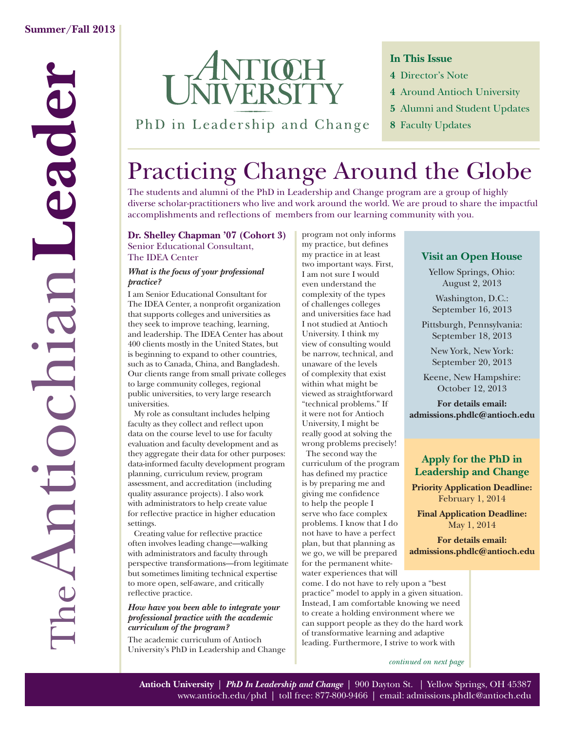

**In This Issue**

- **4** Director's Note
- **4** Around Antioch University
- **5** Alumni and Student Updates
- **8** Faculty Updates

## PhD in Leadership and Change

# Practicing Change Around the Globe

The students and alumni of the PhD in Leadership and Change program are a group of highly diverse scholar-practitioners who live and work around the world. We are proud to share the impactful accomplishments and reflections of members from our learning community with you.

## **Dr. Shelley Chapman '07 (Cohort 3)**

Senior Educational Consultant, The IDEA Center

#### *What is the focus of your professional practice?*

I am Senior Educational Consultant for The IDEA Center, a nonprofit organization that supports colleges and universities as they seek to improve teaching, learning, and leadership. The IDEA Center has about 400 clients mostly in the United States, but is beginning to expand to other countries, such as to Canada, China, and Bangladesh. Our clients range from small private colleges to large community colleges, regional public universities, to very large research universities.

 My role as consultant includes helping faculty as they collect and reflect upon data on the course level to use for faculty evaluation and faculty development and as they aggregate their data for other purposes: data-informed faculty development program planning, curriculum review, program assessment, and accreditation (including quality assurance projects). I also work with administrators to help create value for reflective practice in higher education settings.

Creating value for reflective practice often involves leading change—walking with administrators and faculty through perspective transformations—from legitimate but sometimes limiting technical expertise to more open, self-aware, and critically reflective practice.

#### *How have you been able to integrate your professional practice with the academic curriculum of the program?*

The academic curriculum of Antioch University's PhD in Leadership and Change program not only informs my practice, but defines my practice in at least two important ways. First, I am not sure I would even understand the complexity of the types of challenges colleges and universities face had I not studied at Antioch University. I think my view of consulting would be narrow, technical, and unaware of the levels of complexity that exist within what might be viewed as straightforward "technical problems." If it were not for Antioch University, I might be really good at solving the wrong problems precisely!

The second way the curriculum of the program has defined my practice is by preparing me and giving me confidence to help the people I serve who face complex problems. I know that I do not have to have a perfect plan, but that planning as we go, we will be prepared for the permanent whitewater experiences that will

come. I do not have to rely upon a "best practice" model to apply in a given situation. Instead, I am comfortable knowing we need to create a holding environment where we can support people as they do the hard work of transformative learning and adaptive leading. Furthermore, I strive to work with

*continued on next page*

## **Visit an Open House**

Yellow Springs, Ohio: August 2, 2013

Washington, D.C.: September 16, 2013

Pittsburgh, Pennsylvania: September 18, 2013

New York, New York: September 20, 2013

Keene, New Hampshire: October 12, 2013

**For details email: admissions.phdlc@antioch.edu**

## **Apply for the PhD in Leadership and Change**

**Priority Application Deadline:** February 1, 2014

**Final Application Deadline:** May 1, 2014

**For details email: admissions.phdlc@antioch.edu**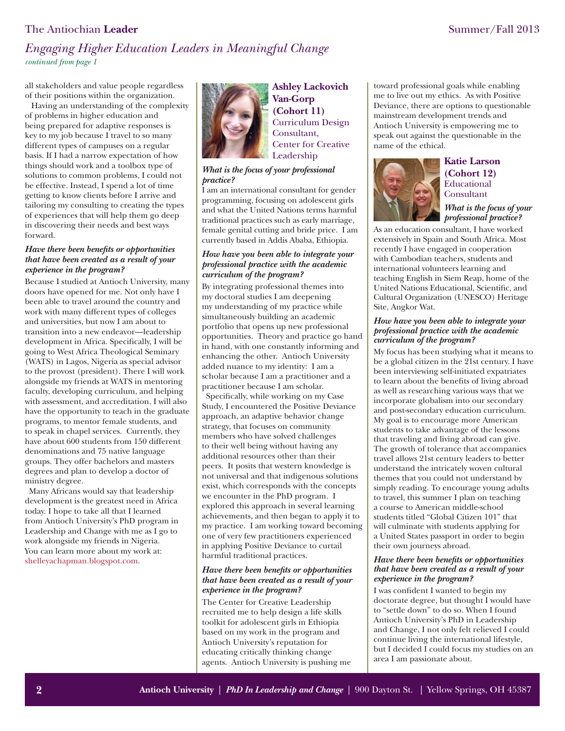## The Antiochian **Leader** Summer/Fall 2013

## *Engaging Higher Education Leaders in Meaningful Change continued from page 1*

all stakeholders and value people regardless of their positions within the organization.

 Having an understanding of the complexity of problems in higher education and being prepared for adaptive responses is key to my job because I travel to so many different types of campuses on a regular basis. If I had a narrow expectation of how things should work and a toolbox type of solutions to common problems, I could not be effective. Instead, I spend a lot of time getting to know clients before I arrive and tailoring my consulting to creating the types of experiences that will help them go deep in discovering their needs and best ways forward.

#### *Have there been benefits or opportunities that have been created as a result of your experience in the program?*

Because I studied at Antioch University, many doors have opened for me. Not only have I been able to travel around the country and work with many different types of colleges and universities, but now I am about to transition into a new endeavor—leadership development in Africa. Specifically, I will be going to West Africa Theological Seminary (WATS) in Lagos, Nigeria as special advisor to the provost (president). There I will work alongside my friends at WATS in mentoring faculty, developing curriculum, and helping with assessment, and accreditation. I will also have the opportunity to teach in the graduate programs, to mentor female students, and to speak in chapel services. Currently, they have about 600 students from 150 different denominations and 75 native language groups. They offer bachelors and masters degrees and plan to develop a doctor of ministry degree.

Many Africans would say that leadership development is the greatest need in Africa today. I hope to take all that I learned from Antioch University's PhD program in Leadership and Change with me as I go to work alongside my friends in Nigeria. You can learn more about my work at: [shelleyachapman.blogspot.com.](www.shelleyachapman.blogspot.com) 



**Ashley Lackovich Van-Gorp (Cohort 11)** Curriculum Design Consultant, Center for Creative Leadership

#### *What is the focus of your professional practice?*

I am an international consultant for gender programming, focusing on adolescent girls and what the United Nations terms harmful traditional practices such as early marriage, female genital cutting and bride price. I am currently based in Addis Ababa, Ethiopia.

#### *How have you been able to integrate your professional practice with the academic curriculum of the program?*

By integrating professional themes into my doctoral studies I am deepening my understanding of my practice while simultaneously building an academic portfolio that opens up new professional opportunities. Theory and practice go hand in hand, with one constantly informing and enhancing the other. Antioch University added nuance to my identity: I am a scholar because I am a practitioner and a practitioner because I am scholar.

Specifically, while working on my Case Study, I encountered the Positive Deviance approach, an adaptive behavior change strategy, that focuses on community members who have solved challenges to their well being without having any additional resources other than their peers. It posits that western knowledge is not universal and that indigenous solutions exist, which corresponds with the concepts we encounter in the PhD program. I explored this approach in several learning achievements, and then began to apply it to my practice. I am working toward becoming one of very few practitioners experienced in applying Positive Deviance to curtail harmful traditional practices.

#### *Have there been benefits or opportunities that have been created as a result of your experience in the program?*

The Center for Creative Leadership recruited me to help design a life skills toolkit for adolescent girls in Ethiopia based on my work in the program and Antioch University's reputation for educating critically thinking change agents. Antioch University is pushing me

toward professional goals while enabling me to live out my ethics. As with Positive Deviance, there are options to questionable mainstream development trends and Antioch University is empowering me to speak out against the questionable in the name of the ethical.



## **Katie Larson (Cohort 12) Educational** Consultant

*What is the focus of your professional practice?* 

As an education consultant, I have worked extensively in Spain and South Africa. Most recently I have engaged in cooperation with Cambodian teachers, students and international volunteers learning and teaching English in Siem Reap, home of the United Nations Educational, Scientific, and Cultural Organization (UNESCO) Heritage Site, Angkor Wat.

#### *How have you been able to integrate your professional practice with the academic curriculum of the program?*

My focus has been studying what it means to be a global citizen in the 21st century. I have been interviewing self-initiated expatriates to learn about the benefits of living abroad as well as researching various ways that we incorporate globalism into our secondary and post-secondary education curriculum. My goal is to encourage more American students to take advantage of the lessons that traveling and living abroad can give. The growth of tolerance that accompanies travel allows 21st century leaders to better understand the intricately woven cultural themes that you could not understand by simply reading. To encourage young adults to travel, this summer I plan on teaching a course to American middle-school students titled "Global Citizen 101" that will culminate with students applying for a United States passport in order to begin their own journeys abroad.

#### **Have there been benefits or opportunities** *that have been created as a result of your experience in the program?*

I was confident I wanted to begin my doctorate degree, but thought I would have to "settle down" to do so. When I found Antioch University's PhD in Leadership and Change, I not only felt relieved I could continue living the international lifestyle, but I decided I could focus my studies on an area I am passionate about.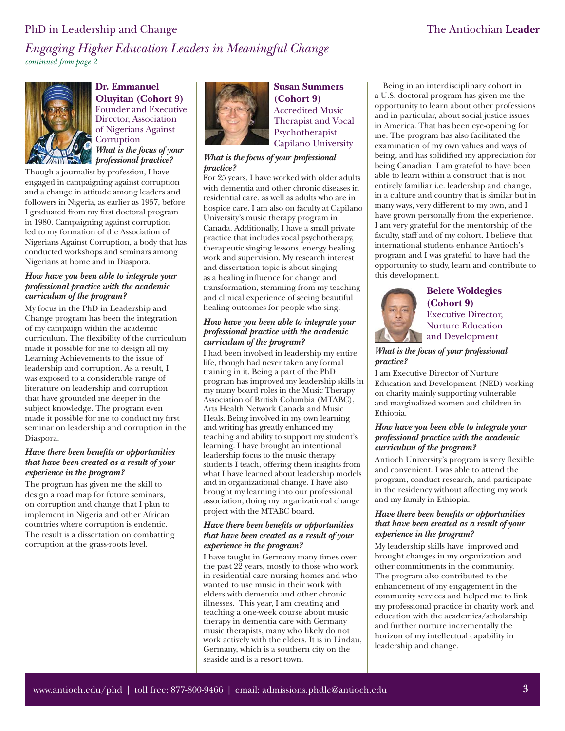### PhD in Leadership and Change The Antiochian Leader

*Engaging Higher Education Leaders in Meaningful Change continued from page 2*



**Dr. Emmanuel Oluyitan (Cohort 9)** Founder and Executive Director, Association of Nigerians Against **Corruption** *What is the focus of your professional practice?* 

Though a journalist by profession, I have engaged in campaigning against corruption and a change in attitude among leaders and followers in Nigeria, as earlier as 1957, before I graduated from my first doctoral program in 1980. Campaigning against corruption led to my formation of the Association of Nigerians Against Corruption, a body that has conducted workshops and seminars among Nigerians at home and in Diaspora.

#### *How have you been able to integrate your professional practice with the academic curriculum of the program?*

My focus in the PhD in Leadership and Change program has been the integration of my campaign within the academic curriculum. The flexibility of the curriculum made it possible for me to design all my Learning Achievements to the issue of leadership and corruption. As a result, I was exposed to a considerable range of literature on leadership and corruption that have grounded me deeper in the subject knowledge. The program even made it possible for me to conduct my first seminar on leadership and corruption in the Diaspora.

#### **Have there been benefits or opportunities** *that have been created as a result of your experience in the program?*

The program has given me the skill to design a road map for future seminars, on corruption and change that I plan to implement in Nigeria and other African countries where corruption is endemic. The result is a dissertation on combatting corruption at the grass-roots level.



**Susan Summers (Cohort 9)** Accredited Music Therapist and Vocal Psychotherapist Capilano University

#### *What is the focus of your professional practice?*

For 25 years, I have worked with older adults with dementia and other chronic diseases in residential care, as well as adults who are in hospice care. I am also on faculty at Capilano University's music therapy program in Canada. Additionally, I have a small private practice that includes vocal psychotherapy, therapeutic singing lessons, energy healing work and supervision. My research interest and dissertation topic is about singing as a healing influence for change and transformation, stemming from my teaching and clinical experience of seeing beautiful healing outcomes for people who sing.

#### *How have you been able to integrate your professional practice with the academic curriculum of the program?*

I had been involved in leadership my entire life, though had never taken any formal training in it. Being a part of the PhD program has improved my leadership skills in my many board roles in the Music Therapy Association of British Columbia (MTABC), Arts Health Network Canada and Music Heals. Being involved in my own learning and writing has greatly enhanced my teaching and ability to support my student's learning. I have brought an intentional leadership focus to the music therapy students I teach, offering them insights from what I have learned about leadership models and in organizational change. I have also brought my learning into our professional association, doing my organizational change project with the MTABC board.

#### *Have there been benefits or opportunities that have been created as a result of your experience in the program?*

I have taught in Germany many times over the past 22 years, mostly to those who work in residential care nursing homes and who wanted to use music in their work with elders with dementia and other chronic illnesses. This year, I am creating and teaching a one-week course about music therapy in dementia care with Germany music therapists, many who likely do not work actively with the elders. It is in Lindau, Germany, which is a southern city on the seaside and is a resort town.

Being in an interdisciplinary cohort in a U.S. doctoral program has given me the opportunity to learn about other professions and in particular, about social justice issues in America. That has been eye-opening for me. The program has also facilitated the examination of my own values and ways of being, and has solidified my appreciation for being Canadian. I am grateful to have been able to learn within a construct that is not entirely familiar i.e. leadership and change, in a culture and country that is similar but in many ways, very different to my own, and I have grown personally from the experience. I am very grateful for the mentorship of the faculty, staff and of my cohort. I believe that international students enhance Antioch's program and I was grateful to have had the opportunity to study, learn and contribute to this development.



### **Belete Woldegies (Cohort 9)** Executive Director, Nurture Education

and Development *What is the focus of your professional practice?*

I am Executive Director of Nurture Education and Development (NED) working on charity mainly supporting vulnerable and marginalized women and children in Ethiopia.

#### *How have you been able to integrate your professional practice with the academic curriculum of the program?*

Antioch University's program is very flexible and convenient. I was able to attend the program, conduct research, and participate in the residency without affecting my work and my family in Ethiopia.

#### **Have there been benefits or opportunities** *that have been created as a result of your experience in the program?*

My leadership skills have improved and brought changes in my organization and other commitments in the community. The program also contributed to the enhancement of my engagement in the community services and helped me to link my professional practice in charity work and education with the academics/scholarship and further nurture incrementally the horizon of my intellectual capability in leadership and change.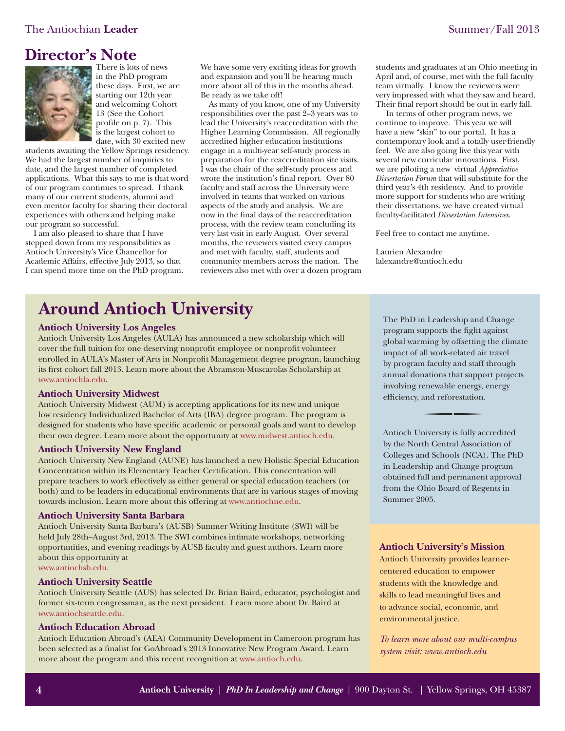## **Director's Note**



There is lots of news in the PhD program these days. First, we are starting our 12th year and welcoming Cohort 13 (See the Cohort profile on  $p. 7$ . This is the largest cohort to date, with 30 excited new

students awaiting the Yellow Springs residency. We had the largest number of inquiries to date, and the largest number of completed applications. What this says to me is that word of our program continues to spread. I thank many of our current students, alumni and even mentor faculty for sharing their doctoral experiences with others and helping make our program so successful.

I am also pleased to share that I have stepped down from my responsibilities as Antioch University's Vice Chancellor for Academic Affairs, effective July 2013, so that I can spend more time on the PhD program. We have some very exciting ideas for growth and expansion and you'll be hearing much more about all of this in the months ahead. Be ready as we take off!

As many of you know, one of my University responsibilities over the past 2–3 years was to lead the University's reaccreditation with the Higher Learning Commission. All regionally accredited higher education institutions engage in a multi-year self-study process in preparation for the reaccreditation site visits. I was the chair of the self-study process and wrote the institution's final report. Over 80 faculty and staff across the University were involved in teams that worked on various aspects of the study and analysis. We are now in the final days of the reaccreditation process, with the review team concluding its very last visit in early August. Over several months, the reviewers visited every campus and met with faculty, staff, students and community members across the nation. The reviewers also met with over a dozen program

students and graduates at an Ohio meeting in April and, of course, met with the full faculty team virtually. I know the reviewers were very impressed with what they saw and heard. Their final report should be out in early fall.

 In terms of other program news, we continue to improve. This year we will have a new "skin" to our portal. It has a contemporary look and a totally user-friendly feel. We are also going live this year with several new curricular innovations. First, we are piloting a new virtual *Appreciative Dissertation Forum* that will substitute for the third year's 4th residency. And to provide more support for students who are writing their dissertations, we have created virtual faculty-facilitated *Dissertation Intensives*.

Feel free to contact me anytime.

Laurien Alexandre lalexandre@antioch.edu

## **Around Antioch University**

#### **Antioch University Los Angeles**

Antioch University Los Angeles (AULA) has announced a new scholarship which will cover the full tuition for one deserving nonprofit employee or nonprofit volunteer enrolled in AULA's Master of Arts in Nonprofit Management degree program, launching its first cohort fall 2013. Learn more about the Abramson-Muscarolas Scholarship at [www.antiochla.edu.](http://www.antiochla.edu/pressrelease/antioch-university-los-angeles-announces-abramson-muscarolas-scholarship-in-nonprofit-management/)

#### **Antioch University Midwest**

Antioch University Midwest (AUM) is accepting applications for its new and unique low residency Individualized Bachelor of Arts (IBA) degree program. The program is designed for students who have specific academic or personal goals and want to develop their own degree. Learn more about the opportunity a[t www.midwest.antioch.edu.](http://midwest.antioch.edu/2013/your-degree-your-interests-your-life-aum-offers-new-individualized-bachelor-degree/)

#### **Antioch University New England**

Antioch University New England (AUNE) has launched a new Holistic Special Education Concentration within its Elementary Teacher Certification. This concentration will prepare teachers to work effectively as either general or special education teachers (or both) and to be leaders in educational environments that are in various stages of moving towards inclusion. Learn more about this offering [at www.antiochne.edu.](http://www.antiochne.edu/teacher-education/integrated-learning/holistic-special-education-concentration/)

#### **Antioch University Santa Barbara**

Antioch University Santa Barbara's (AUSB) Summer Writing Institute (SWI) will be held July 28th–August 3rd, 2013. The SWI combines intimate workshops, networking opportunities, and evening readings by AUSB faculty and guest authors. Learn more about this opportunity at [www.antiochsb.edu.](http://www.antiochsb.edu/swi/)

#### **Antioch University Seattle**

Antioch University Seattle (AUS) has selected Dr. Brian Baird, educator, psychologist and former six-term congressman, as the next president. Learn more about Dr. Baird at [www.antiochseattle.edu.](http://www.antiochseattle.edu/about-aus/leadership/aus-presidential-search/)

#### **Antioch Education Abroad**

Antioch Education Abroad's (AEA) Community Development in Cameroon program has been selected as a finalist for GoAbroad's 2013 Innovative New Program Award. Learn more about the program and this recent recognition a[t www.antioch.edu.](http://www.antioch.edu/featured-program/aeas-cameroon-program-selected-as-finalist-for-innovative-new-program-award/)

The PhD in Leadership and Change program supports the fight against global warming by offsetting the climate impact of all work-related air travel by program faculty and staff through annual donations that support projects involving renewable energy, energy efficiency, and reforestation.

Antioch University is fully accredited by the North Central Association of Colleges and Schools (NCA). The PhD in Leadership and Change program obtained full and permanent approval from the Ohio Board of Regents in Summer 2005.

#### **Antioch University's Mission**

Antioch University provides learnercentered education to empower students with the knowledge and skills to lead meaningful lives and to advance social, economic, and environmental justice.

*To learn more about our multi-campus system visi[t: www.antioch.edu](www.antioch.edu)*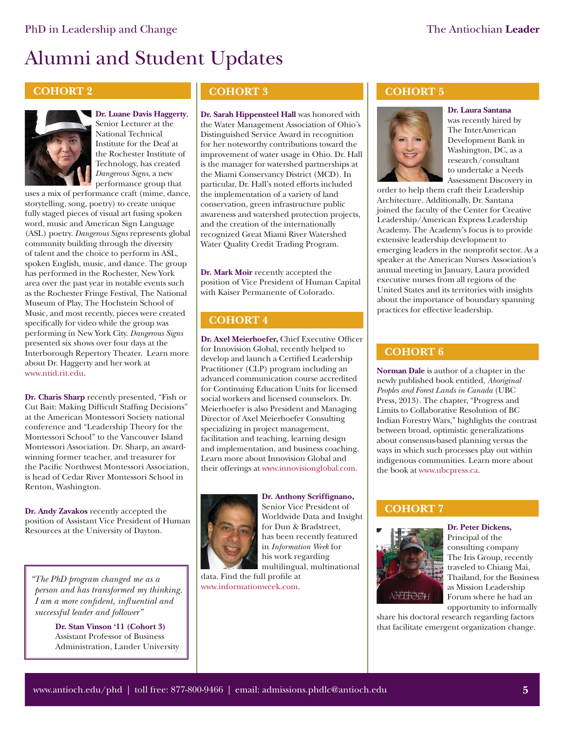# Alumni and Student Updates

## **COHORT 2**



**Dr. Luane Davis Haggerty**, Senior Lecturer at the

National Technical Institute for the Deaf at the Rochester Institute of Technology, has created *Dangerous Signs*, a new performance group that

uses a mix of performance craft (mime, dance, storytelling, song, poetry) to create unique fully staged pieces of visual art fusing spoken word, music and American Sign Language (ASL) poetry. *Dangerous Signs* represents global community building through the diversity of talent and the choice to perform in ASL, spoken English, music, and dance. The group has performed in the Rochester, New York area over the past year in notable events such as the Rochester Fringe Festival, The National Museum of Play, The Hochstein School of Music, and most recently, pieces were created specifically for video while the group was performing in New York City. *Dangerous Signs* presented six shows over four days at the Interborough Repertory Theater. Learn more about Dr. Haggerty and her work at [www.ntid.rit.edu.](http://www.ntid.rit.edu/success/luane-davis-haggerty)

**Dr. Charis Sharp** recently presented, "Fish or Cut Bait: Making Difficult Staffing Decisions" at the American Montessori Society national conference and "Leadership Theory for the Montessori School" to the Vancouver Island Montessori Association. Dr. Sharp, an awardwinning former teacher, and treasurer for the Pacific Northwest Montessori Association. is head of Cedar River Montessori School in Renton, Washington.

**Dr. Andy Zavakos** recently accepted the position of Assistant Vice President of Human Resources at the University of Dayton.

*"The PhD program changed me as a person and has transformed my thinking. I am a more confident, influential and successful leader and follower"*

> **Dr. Stan Vinson '11 (Cohort 3)** Assistant Professor of Business Administration, Lander University

## **COHORT 3**

**Dr. Sarah Hippensteel Hall** was honored with the Water Management Association of Ohio's Distinguished Service Award in recognition for her noteworthy contributions toward the improvement of water usage in Ohio. Dr. Hall is the manager for watershed partnerships at the Miami Conservancy District (MCD). In particular, Dr. Hall's noted efforts included the implementation of a variety of land conservation, green infrastructure public awareness and watershed protection projects, and the creation of the internationally recognized Great Miami River Watershed Water Quality Credit Trading Program.

**Dr. Mark Moir** recently accepted the position of Vice President of Human Capital with Kaiser Permanente of Colorado.

## **COHORT 4**

**Dr. Axel Meierhoefer, Chief Executive Officer** for Innovision Global, recently helped to develop and launch a Certified Leadership Practitioner (CLP) program including an advanced communication course accredited for Continuing Education Units for licensed social workers and licensed counselors. Dr. Meierhoefer is also President and Managing Director of Axel Meierhoefer Consulting specializing in project management, facilitation and teaching, learning design and implementation, and business coaching. Learn more about Innovision Global and their offerings a[t www.innovisionglobal.com.](http://www.innovisionglobal.com/)



**Dr. Anthony Scriffignano,** Senior Vice President of Worldwide Data and Insight for Dun & Bradstreet, has been recently featured in *Information Week* for his work regarding multilingual, multinational

data. Find the full profile at [www.informationweek.com.](http://www.informationweek.com/big-data/news/big-data-analytics/big-data-profile-dbs-anthony-scriffignano/240152873) 

### **COHORT 5**



**Dr. Laura Santana**  was recently hired by The InterAmerican Development Bank in Washington, DC, as a research/consultant to undertake a Needs Assessment Discovery in

order to help them craft their Leadership Architecture. Additionally, Dr. Santana joined the faculty of the Center for Creative Leadership/American Express Leadership Academy. The Academy's focus is to provide extensive leadership development to emerging leaders in the nonprofit sector. As a speaker at the American Nurses Association's annual meeting in January, Laura provided executive nurses from all regions of the United States and its territories with insights about the importance of boundary spanning practices for effective leadership.

## **COHORT 6**

**Norman Dale** is author of a chapter in the newly published book entitled, *Aboriginal Peoples and Forest Lands in Canada* (UBC Press, 2013). The chapter, "Progress and Limits to Collaborative Resolution of BC Indian Forestry Wars," highlights the contrast between broad, optimistic generalizations about consensus-based planning versus the ways in which such processes play out within indigenous communities. Learn more about the book a[t www.ubcpress.ca.](http://www.ubcpress.ca/search/title_book.asp?BookID=299173822)

## **COHORT 7**



**Dr. Peter Dickens,**  Principal of the consulting company The Iris Group, recently traveled to Chiang Mai, Thailand, for the Business as Mission Leadership Forum where he had an opportunity to informally

share his doctoral research regarding factors that facilitate emergent organization change.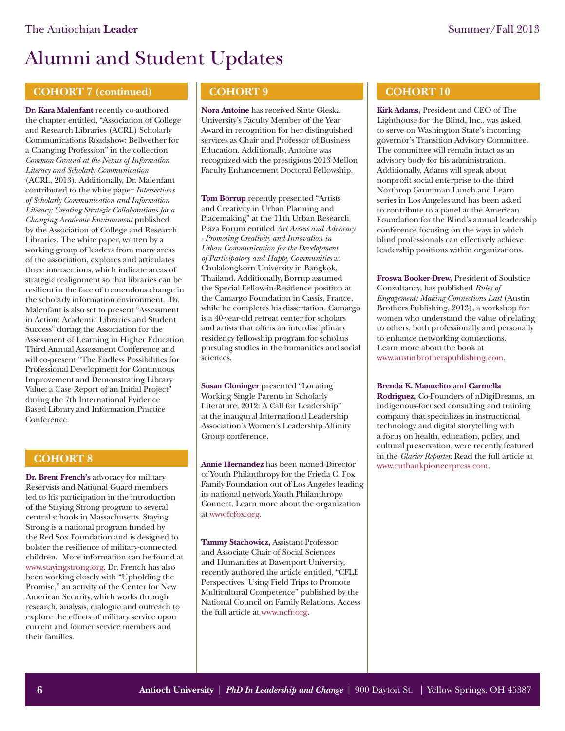# Alumni and Student Updates

## **COHORT 7 (continued)**

**Dr. Kara Malenfant** recently co-authored the chapter entitled, "Association of College and Research Libraries (ACRL) Scholarly Communications Roadshow: Bellwether for a Changing Profession" in the collection *Common Ground at the Nexus of Information Literacy and Scholarly Communication*  (ACRL, 2013). Additionally, Dr. Malenfant contributed to the white paper *Intersections of Scholarly Communication and Information Literacy: Creating Strategic Collaborations for a Changing Academic Environment* published by the Association of College and Research Libraries. The white paper, written by a working group of leaders from many areas of the association, explores and articulates three intersections, which indicate areas of strategic realignment so that libraries can be resilient in the face of tremendous change in the scholarly information environment. Dr. Malenfant is also set to present "Assessment in Action: Academic Libraries and Student Success" during the Association for the Assessment of Learning in Higher Education Third Annual Assessment Conference and will co-present "The Endless Possibilities for Professional Development for Continuous Improvement and Demonstrating Library Value: a Case Report of an Initial Project" during the 7th International Evidence Based Library and Information Practice Conference.

### **COHORT 8**

**Dr. Brent French's** advocacy for military Reservists and National Guard members led to his participation in the introduction of the Staying Strong program to several central schools in Massachusetts. Staying Strong is a national program funded by the Red Sox Foundation and is designed to bolster the resilience of military-connected children. More information can be found at [www.stayingstrong.org.](www.stayingstrong.org) Dr. French has also been working closely with "Upholding the Promise," an activity of the Center for New American Security, which works through research, analysis, dialogue and outreach to explore the effects of military service upon current and former service members and their families.

## **COHORT 9**

**Nora Antoine** has received Sinte Gleska University's Faculty Member of the Year Award in recognition for her distinguished services as Chair and Professor of Business Education. Additionally, Antoine was recognized with the prestigious 2013 Mellon Faculty Enhancement Doctoral Fellowship.

**Tom Borrup** recently presented "Artists and Creativity in Urban Planning and Placemaking" at the 11th Urban Research Plaza Forum entitled *Art Access and Advocacy - Promoting Creativity and Innovation in Urban Communication for the Development of Participatory and Happy Communities* at Chulalongkorn University in Bangkok, Thailand. Additionally, Borrup assumed the Special Fellow-in-Residence position at the Camargo Foundation in Cassis, France, while he completes his dissertation. Camargo is a 40-year-old retreat center for scholars and artists that offers an interdisciplinary residency fellowship program for scholars pursuing studies in the humanities and social sciences.

**Susan Cloninger** presented "Locating Working Single Parents in Scholarly Literature, 2012: A Call for Leadership" at the inaugural International Leadership Association's Women's Leadership Affinity Group conference.

**Annie Hernandez** has been named Director of Youth Philanthropy for the Frieda C. Fox Family Foundation out of Los Angeles leading its national network Youth Philanthropy Connect. Learn more about the organization at [www.fcfox.org](http://fcfox.org/news/51-frieda_c_fox_foundation_announces_youth_philanthropy_director_annie_hernandez).

**Tammy Stachowicz,** Assistant Professor and Associate Chair of Social Sciences and Humanities at Davenport University, recently authored the article entitled, "CFLE Perspectives: Using Field Trips to Promote Multicultural Competence" published by the National Council on Family Relations. Access the full article [at www.ncfr.org.](http://www.ncfr.org/cfle-network/cfle-network-current-issue/cfle-perspectives-using-field-trips-promote-multicultural-co)

## **COHORT 10**

**Kirk Adams,** President and CEO of The Lighthouse for the Blind, Inc., was asked to serve on Washington State's incoming governor's Transition Advisory Committee. The committee will remain intact as an advisory body for his administration. Additionally, Adams will speak about nonprofit social enterprise to the third Northrop Grumman Lunch and Learn series in Los Angeles and has been asked to contribute to a panel at the American Foundation for the Blind's annual leadership conference focusing on the ways in which blind professionals can effectively achieve leadership positions within organizations.

**Froswa Booker-Drew,** President of Soulstice Consultancy, has published *Rules of Engagement: Making Connections Last* (Austin Brothers Publishing, 2013), a workshop for women who understand the value of relating to others, both professionally and personally to enhance networking connections. Learn more about the book at [www.austinbrotherspublishing.com.](http://www.austinbrotherspublishing.com/RulesofEngagement.html)

#### **Brenda K. Manuelito** and **Carmella**

**Rodriguez,** Co-Founders of nDigiDreams, an indigenous-focused consulting and training company that specializes in instructional technology and digital storytelling with a focus on health, education, policy, and cultural preservation, were recently featured in the *Glacier Reporter*. Read the full article at [www.cutbankpioneerpress.com.](http://cutbankpioneerpress.com/articles/2013/03/27/glacier_reporter/news/doc5152244a63c48943249494.txt)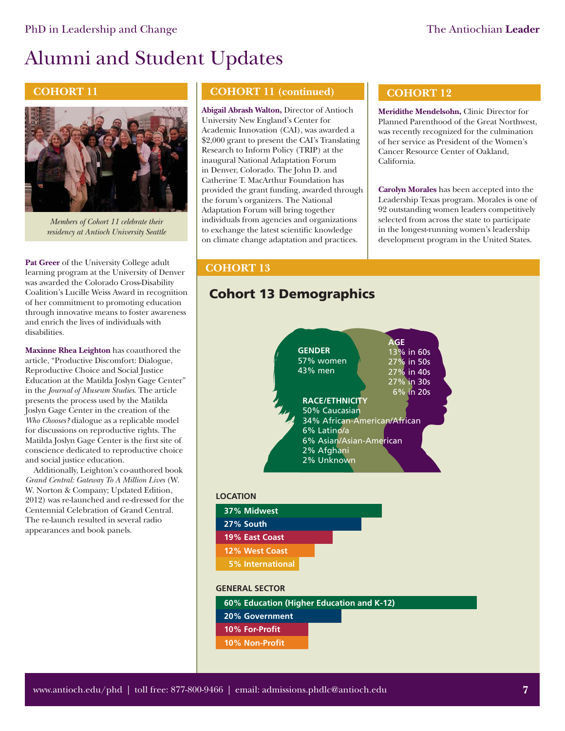# Alumni and Student Updates

### **COHORT 11**



*Members of Cohort 11 celebrate their residency at Antioch University Seattle* 

**Pat Greer** of the University College adult learning program at the University of Denver was awarded the Colorado Cross-Disability Coalition's Lucille Weiss Award in recognition of her commitment to promoting education through innovative means to foster awareness and enrich the lives of individuals with disabilities.

**Maxinne Rhea Leighton** has coauthored the article, "Productive Discomfort: Dialogue, Reproductive Choice and Social Justice Education at the Matilda Joslyn Gage Center" in the *Journal of Museum Studies*. The article presents the process used by the Matilda Joslyn Gage Center in the creation of the *Who Chooses?* dialogue as a replicable model for discussions on reproductive rights. The Matilda Joslyn Gage Center is the first site of conscience dedicated to reproductive choice and social justice education.

Additionally, Leighton's co-authored book *Grand Central: Gateway To A Million Lives* (W. W. Norton & Company; Updated Edition, 2012) was re-launched and re-dressed for the Centennial Celebration of Grand Central. The re-launch resulted in several radio appearances and book panels.

## **COHORT 11 (continued)**

**Abigail Abrash Walton,** Director of Antioch University New England's Center for Academic Innovation (CAI), was awarded a \$2,000 grant to present the CAI's Translating Research to Inform Policy (TRIP) at the inaugural National Adaptation Forum in Denver, Colorado. The John D. and Catherine T. MacArthur Foundation has provided the grant funding, awarded through the forum's organizers. The National Adaptation Forum will bring together individuals from agencies and organizations to exchange the latest scientific knowledge on climate change adaptation and practices.

## **COHORT 12**

**Meridithe Mendelsohn,** Clinic Director for Planned Parenthood of the Great Northwest, was recently recognized for the culmination of her service as President of the Women's Cancer Resource Center of Oakland, California.

**Carolyn Morales** has been accepted into the Leadership Texas program. Morales is one of 92 outstanding women leaders competitively selected from across the state to participate in the longest-running women's leadership development program in the United States.

## **COHORT 13**

## **Cohort 13 Demographics**